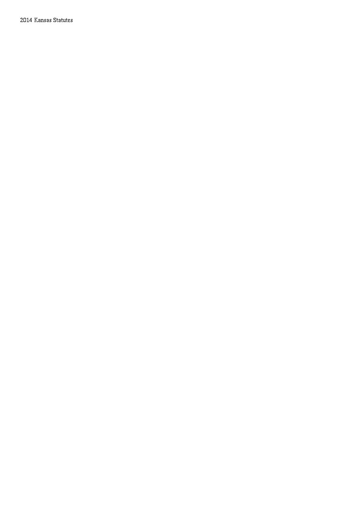Kansas Statutes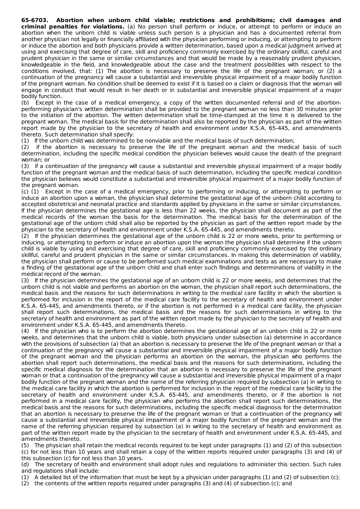**65-6703. Abortion when unborn child viable; restrictions and prohibitions; civil damages and criminal penalties for violations.** (a) No person shall perform or induce, or attempt to perform or induce an abortion when the unborn child is viable unless such person is a physician and has a documented referral from another physician not legally or financially affiliated with the physician performing or inducing, or attempting to perform or induce the abortion and both physicians provide a written determination, based upon a medical judgment arrived at using and exercising that degree of care, skill and proficiency commonly exercised by the ordinary skillful, careful and prudent physician in the same or similar circumstances and that would be made by a reasonably prudent physician, knowledgeable in the field, and knowledgeable about the case and the treatment possibilities with respect to the conditions involved, that: (1) The abortion is necessary to preserve the life of the pregnant woman; or (2) a continuation of the pregnancy will cause a substantial and irreversible physical impairment of a major bodily function of the pregnant woman. No condition shall be deemed to exist if it is based on a claim or diagnosis that the woman will engage in conduct that would result in her death or in substantial and irreversible physical impairment of a major bodily function.

(b) Except in the case of a medical emergency, a copy of the written documented referral and of the abortionperforming physician's written determination shall be provided to the pregnant woman no less than 30 minutes prior to the initiation of the abortion. The written determination shall be time-stamped at the time it is delivered to the pregnant woman. The medical basis for the determination shall also be reported by the physician as part of the written report made by the physician to the secretary of health and environment under K.S.A. 65-445, and amendments thereto. Such determination shall specify:

(1) If the unborn child was determined to be nonviable and the medical basis of such determination;

(2) if the abortion is necessary to preserve the life of the pregnant woman and the medical basis of such determination, including the specific medical condition the physician believes would cause the death of the pregnant woman; or

(3) if a continuation of the pregnancy will cause a substantial and irreversible physical impairment of a major bodily function of the pregnant woman and the medical basis of such determination, including the specific medical condition the physician believes would constitute a substantial and irreversible physical impairment of a major bodily function of the pregnant woman.

(c) (1) Except in the case of a medical emergency, prior to performing or inducing, or attempting to perform or induce an abortion upon a woman, the physician shall determine the gestational age of the unborn child according to accepted obstetrical and neonatal practice and standards applied by physicians in the same or similar circumstances. If the physician determines the gestational age is less than 22 weeks, the physician shall document as part of the medical records of the woman the basis for the determination. The medical basis for the determination of the gestational age of the unborn child shall also be reported by the physician as part of the written report made by the physician to the secretary of health and environment under K.S.A. 65-445, and amendments thereto.

(2) If the physician determines the gestational age of the unborn child is 22 or more weeks, prior to performing or inducing, or attempting to perform or induce an abortion upon the woman the physician shall determine if the unborn child is viable by using and exercising that degree of care, skill and proficiency commonly exercised by the ordinary skillful, careful and prudent physician in the same or similar circumstances. In making this determination of viability, the physician shall perform or cause to be performed such medical examinations and tests as are necessary to make a finding of the gestational age of the unborn child and shall enter such findings and determinations of viability in the medical record of the woman.

(3) If the physician determines the gestational age of an unborn child is 22 or more weeks, and determines that the unborn child is not viable and performs an abortion on the woman, the physician shall report such determinations, the medical basis and the reasons for such determinations in writing to the medical care facility in which the abortion is performed for inclusion in the report of the medical care facility to the secretary of health and environment under K.S.A. 65-445, and amendments thereto, or if the abortion is not performed in a medical care facility, the physician shall report such determinations, the medical basis and the reasons for such determinations in writing to the secretary of health and environment as part of the written report made by the physician to the secretary of health and environment under K.S.A. 65-445, and amendments thereto.

(4) If the physician who is to perform the abortion determines the gestational age of an unborn child is 22 or more weeks, and determines that the unborn child is viable, both physicians under subsection (a) determine in accordance with the provisions of subsection (a) that an abortion is necessary to preserve the life of the pregnant woman or that a continuation of the pregnancy will cause a substantial and irreversible physical impairment of a major bodily function of the pregnant woman and the physician performs an abortion on the woman, the physician who performs the abortion shall report such determinations, the medical basis and the reasons for such determinations, including the specific medical diagnosis for the determination that an abortion is necessary to preserve the life of the pregnant woman or that a continuation of the pregnancy will cause a substantial and irreversible physical impairment of a major bodily function of the pregnant woman and the name of the referring physician required by subsection (a) in writing to the medical care facility in which the abortion is performed for inclusion in the report of the medical care facility to the secretary of health and environment under K.S.A. 65-445, and amendments thereto, or if the abortion is not performed in a medical care facility, the physician who performs the abortion shall report such determinations, the medical basis and the reasons for such determinations, including the specific medical diagnosis for the determination that an abortion is necessary to preserve the life of the pregnant woman or that a continuation of the pregnancy will cause a substantial and irreversible physical impairment of a major bodily function of the pregnant woman and the name of the referring physician required by subsection (a) in writing to the secretary of health and environment as part of the written report made by the physician to the secretary of health and environment under K.S.A. 65-445, and amendments thereto.

(5) The physician shall retain the medical records required to be kept under paragraphs (1) and (2) of this subsection (c) for not less than 10 years and shall retain a copy of the written reports required under paragraphs (3) and (4) of this subsection (c) for not less than 10 years.

(d) The secretary of health and environment shall adopt rules and regulations to administer this section. Such rules and regulations shall include:

(1) A detailed list of the information that must be kept by a physician under paragraphs (1) and (2) of subsection (c);

(2) the contents of the written reports required under paragraphs (3) and (4) of subsection (c); and